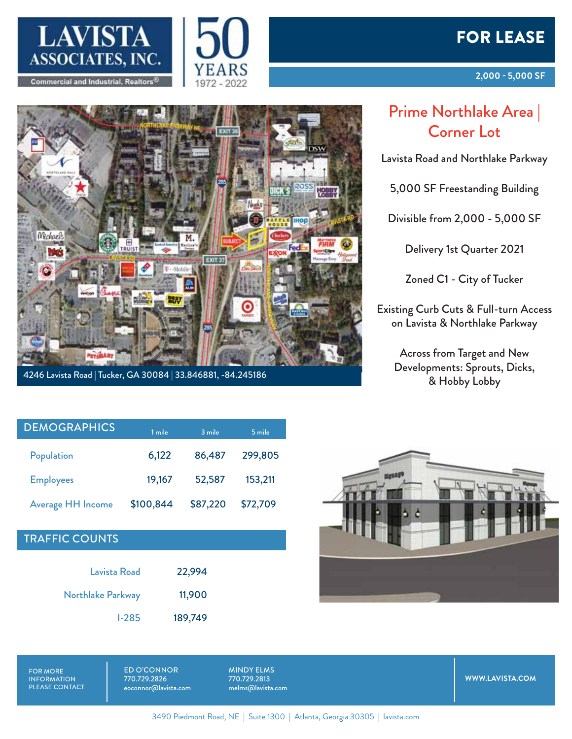







4246 Lavista Road | Tucker, GA 30084 | 33.846881, -84.245186

## Prime Northlake Area | Corner Lot

Lavista Road and Northlake Parkway

5,000 SF Freestanding Building

Divisible from 2,000 - 5,000 SF

Delivery 1st Quarter 2021

Zoned C1 - City of Tucker

Existing Curb Cuts & Full-turn Access on Lavista & Northlake Parkway

> Across from Target and New Developments: Sprouts, Dicks, & Hobby Lobby

| <b>DEMOGRAPHICS</b>      | 1 mile    | 3 mile   | 5 mile   |
|--------------------------|-----------|----------|----------|
| Population               | 6,122     | 86,487   | 299,805  |
| <b>Employees</b>         | 19,167    | 52,587   | 153,211  |
| <b>Average HH Income</b> | \$100,844 | \$87,220 | \$72,709 |

## TRAFFIC COUNTS

Michaels

| Lavista Road      | 22,994  |
|-------------------|---------|
| Northlake Parkway | 11,900  |
| $1-285$           | 189,749 |



FOR MORE INFORMATION PLEASE CONTACT ED O'CONNOR 770.729.2826 eoconnor@lavista.com

MINDY ELMS 770.729.2813 melms@lavista.com